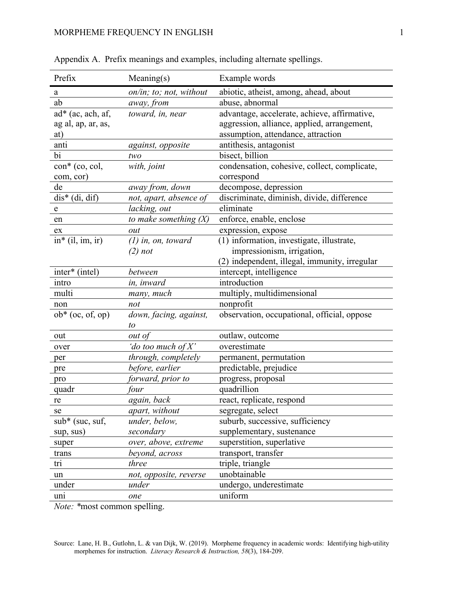| Prefix                         | Meaning(s)              | Example words                                 |
|--------------------------------|-------------------------|-----------------------------------------------|
| a                              | on/in; to; not, without | abiotic, atheist, among, ahead, about         |
| ab                             | away, from              | abuse, abnormal                               |
| $ad^*(ac, ach, af,$            | toward, in, near        | advantage, accelerate, achieve, affirmative,  |
| ag al, ap, ar, as,             |                         | aggression, alliance, applied, arrangement,   |
| at)                            |                         | assumption, attendance, attraction            |
| anti                           | against, opposite       | antithesis, antagonist                        |
| bi                             | two                     | bisect, billion                               |
| $\text{con}^*$ (co, col,       | with, joint             | condensation, cohesive, collect, complicate,  |
| com, cor)                      |                         | correspond                                    |
| de                             | away from, down         | decompose, depression                         |
| $dis*$ (di, dif)               | not, apart, absence of  | discriminate, diminish, divide, difference    |
| ${\bf e}$                      | lacking, out            | eliminate                                     |
| en                             | to make something $(X)$ | enforce, enable, enclose                      |
| ex                             | out                     | expression, expose                            |
| $in$ <sup>*</sup> (il, im, ir) | $(1)$ in, on, toward    | (1) information, investigate, illustrate,     |
|                                | $(2)$ not               | impressionism, irrigation,                    |
|                                |                         | (2) independent, illegal, immunity, irregular |
| inter* (intel)                 | between                 | intercept, intelligence                       |
| intro                          | in, inward              | introduction                                  |
| multi                          | many, much              | multiply, multidimensional                    |
| non                            | not                     | nonprofit                                     |
| $ob*$ (oc, of, op)             | down, facing, against,  | observation, occupational, official, oppose   |
|                                | to                      |                                               |
| out                            | out of                  | outlaw, outcome                               |
| over                           | 'do too much of $X'$    | overestimate                                  |
| per                            | through, completely     | permanent, permutation                        |
| pre                            | before, earlier         | predictable, prejudice                        |
| pro                            | forward, prior to       | progress, proposal                            |
| quadr                          | four                    | quadrillion                                   |
| re                             | again, back             | react, replicate, respond                     |
| se                             | apart, without          | segregate, select                             |
| sub* (suc, suf,                | under, below,           | suburb, successive, sufficiency               |
| sup, sus)                      | secondary               | supplementary, sustenance                     |
| super                          | over, above, extreme    | superstition, superlative                     |
| trans                          | beyond, across          | transport, transfer                           |
| tri                            | three                   | triple, triangle                              |
| un                             | not, opposite, reverse  | unobtainable                                  |
| under                          | under                   | undergo, underestimate                        |
| uni                            | one                     | uniform                                       |
| $\overline{r}$                 | 11.                     |                                               |

| Appendix A. Prefix meanings and examples, including alternate spellings. |  |  |  |  |
|--------------------------------------------------------------------------|--|--|--|--|
|                                                                          |  |  |  |  |

*Note: \**most common spelling.

Source: Lane, H. B., Gutlohn, L. & van Dijk, W. (2019). Morpheme frequency in academic words: Identifying high-utility morphemes for instruction. *Literacy Research & Instruction, 58*(3), 184-209.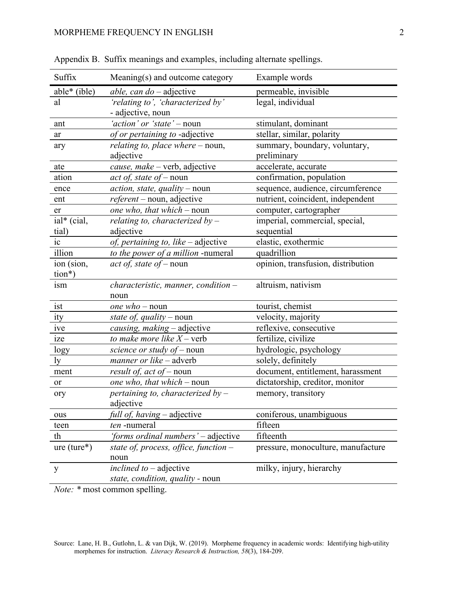| Suffix        | Meaning(s) and outcome category                               | Example words                                |
|---------------|---------------------------------------------------------------|----------------------------------------------|
| $able*(ible)$ | <i>able, can do – adjective</i>                               | permeable, invisible                         |
| al            | 'relating to', 'characterized by'<br>- adjective, noun        | legal, individual                            |
| ant           | 'action' or 'state' - noun                                    | stimulant, dominant                          |
| ar            | of or pertaining to -adjective                                | stellar, similar, polarity                   |
| ary           | relating to, place where – noun,<br>adjective                 | summary, boundary, voluntary,<br>preliminary |
| ate           | cause, make - verb, adjective                                 | accelerate, accurate                         |
| ation         | <i>act of, state of – noun</i>                                | confirmation, population                     |
| ence          | $action, state, quality-noun$                                 | sequence, audience, circumference            |
| ent           | $referent$ – noun, adjective                                  | nutrient, coincident, independent            |
| er            | one who, that which – noun                                    | computer, cartographer                       |
| ial* (cial,   | relating to, characterized by $-$                             | imperial, commercial, special,               |
| tial)         | adjective                                                     | sequential                                   |
| ic            | of, pertaining to, like - adjective                           | elastic, exothermic                          |
| illion        | to the power of a million -numeral                            | quadrillion                                  |
| ion (sion,    | act of, state of – noun                                       | opinion, transfusion, distribution           |
| tion*)        |                                                               |                                              |
| ism           | characteristic, manner, condition -<br>noun                   | altruism, nativism                           |
| ist           | <i>one</i> $who$ – noun                                       | tourist, chemist                             |
| ity           | state of, quality – noun                                      | velocity, majority                           |
| ive           | causing, making - adjective                                   | reflexive, consecutive                       |
| ize           | to make more like $X$ – verb                                  | fertilize, civilize                          |
| logy          | science or study of - noun                                    | hydrologic, psychology                       |
| ly            | manner or like - adverb                                       | solely, definitely                           |
| ment          | result of, act of - noun                                      | document, entitlement, harassment            |
| or            | one who, that which - noun                                    | dictatorship, creditor, monitor              |
| ory           | pertaining to, characterized by $-$                           | memory, transitory                           |
|               | adjective                                                     |                                              |
| ous           | <i>full of, having</i> – adjective                            | coniferous, unambiguous                      |
| teen          | ten-numeral                                                   | fifteen                                      |
| th            | 'forms ordinal numbers' - adjective                           | fifteenth                                    |
| $ure (ture*)$ | state of, process, office, function $-$<br>noun               | pressure, monoculture, manufacture           |
| y             | inclined to $-$ adjective<br>state, condition, quality - noun | milky, injury, hierarchy                     |

Appendix B. Suffix meanings and examples, including alternate spellings.

*Note:* \* most common spelling.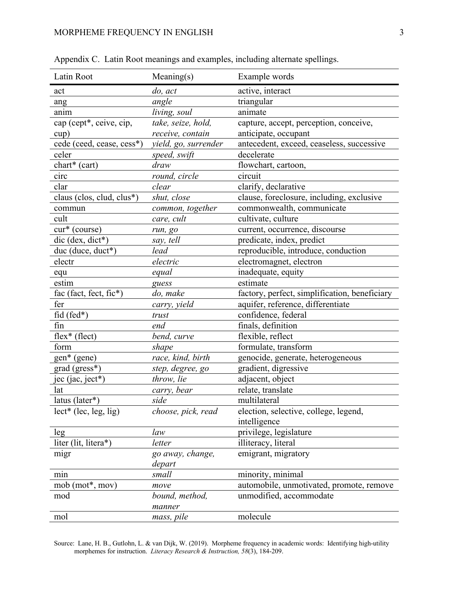| Latin Root                  | Meaning(s)           | Example words                                 |
|-----------------------------|----------------------|-----------------------------------------------|
| act                         | do, act              | active, interact                              |
| ang                         | angle                | triangular                                    |
| anim                        | living, soul         | animate                                       |
| cap (cept*, ceive, cip,     | take, seize, hold,   | capture, accept, perception, conceive,        |
| cup)                        | receive, contain     | anticipate, occupant                          |
| cede (ceed, cease, cess*)   | yield, go, surrender | antecedent, exceed, ceaseless, successive     |
| celer                       | speed, swift         | decelerate                                    |
| $chart*(cart)$              | draw                 | flowchart, cartoon,                           |
| circ                        | round, circle        | circuit                                       |
| clar                        | clear                | clarify, declarative                          |
| claus (clos, clud, clus*)   | shut, close          | clause, foreclosure, including, exclusive     |
| commun                      | common, together     | commonwealth, communicate                     |
| cult                        | care, cult           | cultivate, culture                            |
| cur* (course)               | run, go              | current, occurrence, discourse                |
| dic (dex, dict*)            | say, tell            | predicate, index, predict                     |
| duc (duce, duct*)           | lead                 | reproducible, introduce, conduction           |
| electr                      | electric             | electromagnet, electron                       |
| equ                         | equal                | inadequate, equity                            |
| estim                       | guess                | estimate                                      |
| fac (fact, fect, fic*)      | do, make             | factory, perfect, simplification, beneficiary |
| fer                         | carry, yield         | aquifer, reference, differentiate             |
| $fid (fed*)$                | trust                | confidence, federal                           |
| fin                         | end                  | finals, definition                            |
| $flex$ <sup>*</sup> (flect) | bend, curve          | flexible, reflect                             |
| form                        | shape                | formulate, transform                          |
| $gen*$ (gene)               | race, kind, birth    | genocide, generate, heterogeneous             |
| grad (gress*)               | step, degree, go     | gradient, digressive                          |
| jec (jac, ject*)            | throw, lie           | adjacent, object                              |
| lat                         | carry, bear          | relate, translate                             |
| latus (later*)              | side                 | multilateral                                  |
| $lect*$ (lec, leg, lig)     | choose, pick, read   | election, selective, college, legend,         |
|                             |                      | intelligence                                  |
| leg                         | law                  | privilege, legislature                        |
| liter (lit, litera*)        | letter               | illiteracy, literal                           |
| migr                        | go away, change,     | emigrant, migratory                           |
|                             | depart               |                                               |
| min                         | small                | minority, minimal                             |
| $mob (mot*, mov)$           | move                 | automobile, unmotivated, promote, remove      |
| mod                         | bound, method,       | unmodified, accommodate                       |
|                             | manner               |                                               |
| mol                         | mass, pile           | molecule                                      |

Appendix C. Latin Root meanings and examples, including alternate spellings.

Source: Lane, H. B., Gutlohn, L. & van Dijk, W. (2019). Morpheme frequency in academic words: Identifying high-utility morphemes for instruction. *Literacy Research & Instruction, 58*(3), 184-209.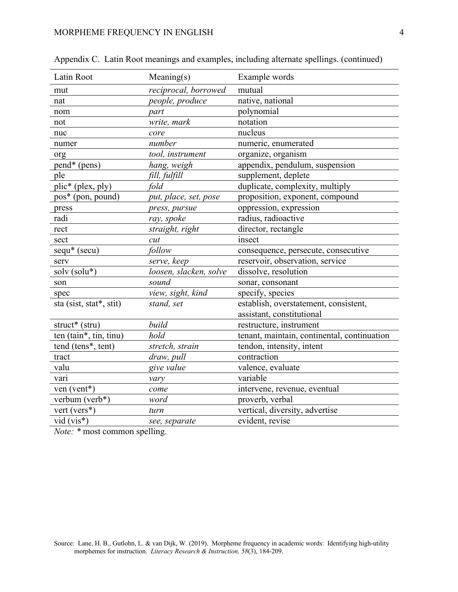| Latin Root                      | Meaning(s)             | Example words                               |
|---------------------------------|------------------------|---------------------------------------------|
| mut                             | reciprocal, borrowed   | mutual                                      |
| nat                             | people, produce        | native, national                            |
| nom                             | part                   | polynomial                                  |
| not                             | write, mark            | notation                                    |
| nuc                             | core                   | nucleus                                     |
| numer                           | number                 | numeric, enumerated                         |
| org                             | tool, instrument       | organize, organism                          |
| pend* (pens)                    | hang, weigh            | appendix, pendulum, suspension              |
| ple                             | fill, fulfill          | supplement, deplete                         |
| plic* (plex, ply)               | fold                   | duplicate, complexity, multiply             |
| pos* (pon, pound)               | put, place, set, pose  | proposition, exponent, compound             |
| press                           | press, pursue          | oppression, expression                      |
| radi                            | ray, spoke             | radius, radioactive                         |
| rect                            | straight, right        | director, rectangle                         |
| sect                            | cut                    | insect                                      |
| sequ* (secu)                    | follow                 | consequence, persecute, consecutive         |
| serv                            | serve, keep            | reservoir, observation, service             |
| solv (solu*)                    | loosen, slacken, solve | dissolve, resolution                        |
| son                             | sound                  | sonar, consonant                            |
| spec                            | view, sight, kind      | specify, species                            |
| sta (sist, stat*, stit)         | stand, set             | establish, overstatement, consistent,       |
|                                 |                        | assistant, constitutional                   |
| struct* (stru)                  | build                  | restructure, instrument                     |
| ten (tain*, tin, tinu)          | hold                   | tenant, maintain, continental, continuation |
| tend (tens <sup>*</sup> , tent) | stretch, strain        | tendon, intensity, intent                   |
| tract                           | draw, pull             | contraction                                 |
| valu                            | give value             | valence, evaluate                           |
| vari                            | vary                   | variable                                    |
| ven (vent*)                     | come                   | intervene, revenue, eventual                |
| verbum (verb*)                  | word                   | proverb, verbal                             |
| vert (vers*)                    | turn                   | vertical, diversity, advertise              |
| $vid (vis*)$                    | see, separate          | evident, revise                             |
|                                 |                        |                                             |

|  |  | Appendix C. Latin Root meanings and examples, including alternate spellings. (continued) |  |  |  |  |
|--|--|------------------------------------------------------------------------------------------|--|--|--|--|
|--|--|------------------------------------------------------------------------------------------|--|--|--|--|

*Note:* \* most common spelling.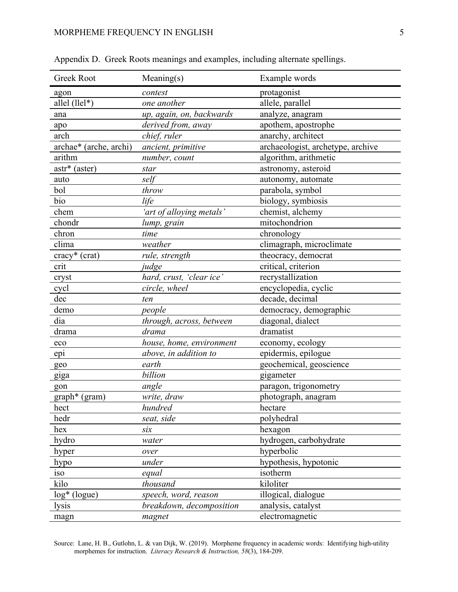| <b>Greek Root</b>      | Meaning(s)               | Example words                     |
|------------------------|--------------------------|-----------------------------------|
| agon                   | contest                  | protagonist                       |
| allel (llel*)          | one another              | allele, parallel                  |
| ana                    | up, again, on, backwards | analyze, anagram                  |
| apo                    | derived from, away       | apothem, apostrophe               |
| arch                   | chief, ruler             | anarchy, architect                |
| archae* (arche, archi) | ancient, primitive       | archaeologist, archetype, archive |
| arithm                 | number, count            | algorithm, arithmetic             |
| astr* (aster)          | star                     | astronomy, asteroid               |
| auto                   | self                     | autonomy, automate                |
| bol                    | throw                    | parabola, symbol                  |
| bio                    | life                     | biology, symbiosis                |
| chem                   | 'art of alloying metals' | chemist, alchemy                  |
| chondr                 | lump, grain              | mitochondrion                     |
| chron                  | time                     | chronology                        |
| clima                  | weather                  | climagraph, microclimate          |
| cracy* (crat)          | rule, strength           | theocracy, democrat               |
| crit                   | judge                    | critical, criterion               |
| cryst                  | hard, crust, 'clear ice' | recrystallization                 |
| cycl                   | circle, wheel            | encyclopedia, cyclic              |
| dec                    | ten                      | decade, decimal                   |
| demo                   | people                   | democracy, demographic            |
| dia                    | through, across, between | diagonal, dialect                 |
| drama                  | drama                    | dramatist                         |
| eco                    | house, home, environment | economy, ecology                  |
| epi                    | above, in addition to    | epidermis, epilogue               |
| geo                    | earth                    | geochemical, geoscience           |
| giga                   | billion                  | gigameter                         |
| gon                    | angle                    | paragon, trigonometry             |
| graph* (gram)          | write, draw              | photograph, anagram               |
| hect                   | hundred                  | hectare                           |
| hedr                   | seat, side               | polyhedral                        |
| hex                    | six                      | hexagon                           |
| hydro                  | water                    | hydrogen, carbohydrate            |
| hyper                  | over                     | hyperbolic                        |
| hypo                   | under                    | hypothesis, hypotonic             |
| iso                    | equal                    | isotherm                          |
| kilo                   | thousand                 | kiloliter                         |
| $log^*$ (logue)        | speech, word, reason     | illogical, dialogue               |
| lysis                  | breakdown, decomposition | analysis, catalyst                |
| magn                   | magnet                   | electromagnetic                   |

Appendix D. Greek Roots meanings and examples, including alternate spellings.

Source: Lane, H. B., Gutlohn, L. & van Dijk, W. (2019). Morpheme frequency in academic words: Identifying high-utility morphemes for instruction. *Literacy Research & Instruction, 58*(3), 184-209.